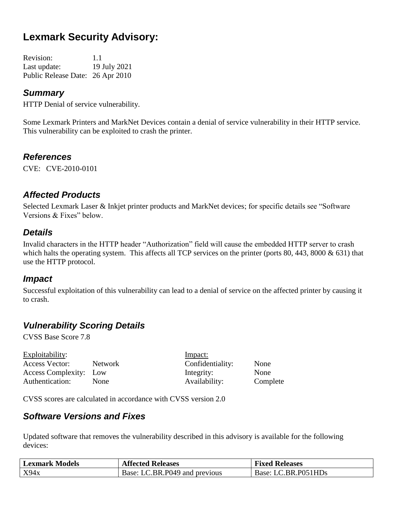# **Lexmark Security Advisory:**

| <b>Revision:</b>                 | 1.1          |
|----------------------------------|--------------|
| Last update:                     | 19 July 2021 |
| Public Release Date: 26 Apr 2010 |              |

### *Summary*

HTTP Denial of service vulnerability.

Some Lexmark Printers and MarkNet Devices contain a denial of service vulnerability in their HTTP service. This vulnerability can be exploited to crash the printer.

#### *References*

CVE: CVE-2010-0101

#### *Affected Products*

Selected Lexmark Laser & Inkjet printer products and MarkNet devices; for specific details see "Software Versions & Fixes" below.

#### *Details*

Invalid characters in the HTTP header "Authorization" field will cause the embedded HTTP server to crash which halts the operating system. This affects all TCP services on the printer (ports 80, 443, 8000 & 631) that use the HTTP protocol.

#### *Impact*

Successful exploitation of this vulnerability can lead to a denial of service on the affected printer by causing it to crash.

### *Vulnerability Scoring Details*

CVSS Base Score 7.8

| Exploitability:        |                | Impact:          |          |
|------------------------|----------------|------------------|----------|
| Access Vector:         | <b>Network</b> | Confidentiality: | None     |
| Access Complexity: Low |                | Integrity:       | None     |
| Authentication:        | <b>None</b>    | Availability:    | Complete |

CVSS scores are calculated in accordance with CVSS version 2.0

### *Software Versions and Fixes*

| <b>Lexmark Models</b> | <b>Affected Releases</b>      | <b>Fixed Releases</b> |
|-----------------------|-------------------------------|-----------------------|
| X94x                  | Base: LC.BR.P049 and previous | Base: LC.BR.P051HDs   |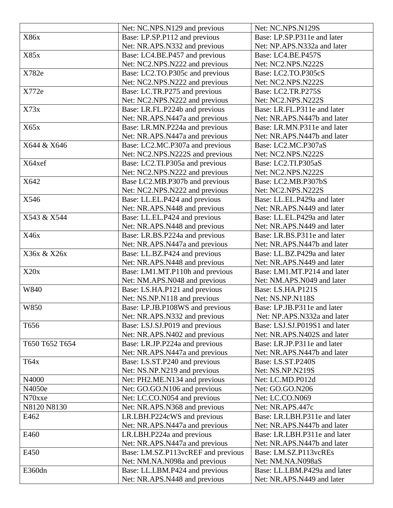|                | Net: NC.NPS.N129 and previous      | Net: NC.NPS.N129S             |
|----------------|------------------------------------|-------------------------------|
| X86x           | Base: LP.SP.P112 and previous      | Base: LP.SP.P311e and later   |
|                | Net: NR.APS.N332 and previous      | Net: NP.APS.N332a and later   |
| X85x           | Base: LC4.BE.P457 and previous     | Base: LC4.BE.P457S            |
|                | Net: NC2.NPS.N222 and previous     | Net: NC2.NPS.N222S            |
| X782e          | Base: LC2.TO.P305c and previous    | Base: LC2.TO.P305cS           |
|                | Net: NC2.NPS.N222 and previous     | Net: NC2.NPS.N222S            |
| X772e          | Base: LC.TR.P275 and previous      | Base: LC2.TR.P275S            |
|                | Net: NC2.NPS.N222 and previous     | Net: NC2.NPS.N222S            |
| X73x           | Base: LR.FL.P224b and previous     | Base: LR.FL.P311e and later   |
|                | Net: NR.APS.N447a and previous     | Net: NR.APS.N447b and later   |
| X65x           | Base: LR.MN.P224a and previous     | Base: LR.MN.P311e and later   |
|                | Net: NR.APS.N447a and previous     | Net: NR.APS.N447b and later   |
| X644 & X646    | Base: LC2.MC.P307a and previous    | Base: LC2.MC.P307aS           |
|                | Net: NC2.NPS.N222S and previous    | Net: NC2.NPS.N222S            |
| X64xef         | Base: LC2.TI.P305a and previous    | Base: LC2.TI.P305aS           |
|                | Net: NC2.NPS.N222 and previous     | Net: NC2.NPS.N222S            |
| X642           | Base LC2.MB.P307b and previous     | Base: LC2.MB.P307bS           |
|                | Net: NC2.NPS.N222 and previous     | Net: NC2.NPS.N222S            |
|                |                                    |                               |
| X546           | Base: LL.EL.P424 and previous      | Base: LL.EL.P429a and later   |
|                | Net: NR.APS.N448 and previous      | Net: NR.APS.N449 and later    |
| X543 & X544    | Base: LL.EL.P424 and previous      | Base: LL.EL.P429a and later   |
|                | Net: NR.APS.N448 and previous      | Net: NR.APS.N449 and later    |
| X46x           | Base: LR.BS.P224a and previous     | Base: LR.BS.P311e and later   |
|                | Net: NR.APS.N447a and previous     | Net: NR.APS.N447b and later   |
| X36x & X26x    | Base: LL.BZ.P424 and previous      | Base: LL.BZ.P429a and later   |
|                | Net: NR.APS.N448 and previous      | Net: NR.APS.N449 and later    |
| X20x           | Base: LM1.MT.P110h and previous    | Base: LM1.MT.P214 and later   |
|                | Net: NM.APS.N048 and previous      | Net: NM.APS.N049 and later    |
| W840           | Base: LS.HA.P121 and previous      | Base: LS.HA.P121S             |
|                | Net: NS.NP.N118 and previous       | Net: NS.NP.N118S              |
| W850           | Base: LP.JB.P108WS and previous    | Base: LP.JB.P311e and later   |
|                | Net: NR.APS.N332 and previous      | Net: NP.APS.N332a and later   |
| T656           | Base: LSJ.SJ.P019 and previous     | Base: LSJ.SJ.P019S1 and later |
|                | Net: NR.APS.N402 and previous      | Net: NR.APS.N402S and later   |
| T650 T652 T654 | Base: LR.JP.P224a and previous     | Base: LR.JP.P311e and later   |
|                | Net: NR.APS.N447a and previous     | Net: NR.APS.N447b and later   |
| T64x           | Base: LS.ST.P240 and previous      | Base: LS.ST.P240S             |
|                | Net: NS.NP.N219 and previous       | Net: NS.NP.N219S              |
| N4000          | Net: PH2.ME.N134 and previous      | Net: LC.MD.P012d              |
| N4050e         | Net: GO.GO.N106 and previous       | Net: GO.GO.N206               |
| N70xxe         | Net: LC.CO.N054 and previous       | Net: LC.CO.N069               |
| N8120 N8130    | Net: NR.APS.N368 and previous      | Net: NR.APS.447c              |
| E462           | LR.LBH.P224cWS and previous        | Base: LR.LBH.P311e and later  |
|                | Net: NR.APS.N447a and previous     | Net: NR.APS.N447b and later   |
| E460           | LR.LBH.P224a and previous          | Base: LR.LBH.P311e and later  |
|                | Net: NR.APS.N447a and previous     | Net: NR.APS.N447b and later   |
| E450           | Base: LM.SZ.P113vcREF and previous | Base: LM.SZ.P113vcREs         |
|                | Net: NM.NA.N098a and previous      | Net: NM.NA.N098aS             |
| E360dn         | Base: LL.LBM.P424 and previous     | Base: LL.LBM.P429a and later  |
|                | Net: NR.APS.N448 and previous      | Net: NR.APS.N449 and later    |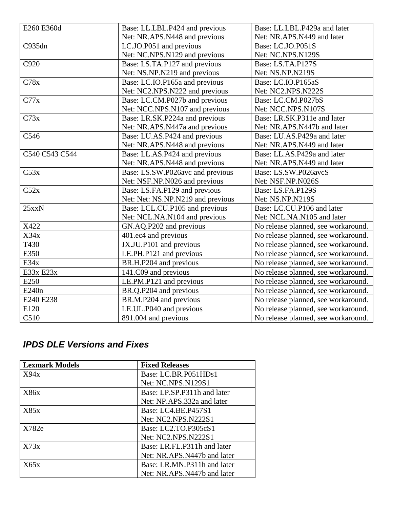| E260 E360d     | Base: LL.LBL.P424 and previous    | Base: LL.LBL.P429a and later        |
|----------------|-----------------------------------|-------------------------------------|
|                | Net: NR.APS.N448 and previous     | Net: NR.APS.N449 and later          |
| C935dn         | LC.JO.P051 and previous           | Base: LC.JO.P051S                   |
|                | Net: NC.NPS.N129 and previous     | Net: NC.NPS.N129S                   |
| C920           | Base: LS.TA.P127 and previous     | Base: LS.TA.P127S                   |
|                | Net: NS.NP.N219 and previous      | Net: NS.NP.N219S                    |
| C78x           | Base: LC.IO.P165a and previous    | Base: LC.IO.P165aS                  |
|                | Net: NC2.NPS.N222 and previous    | Net: NC2.NPS.N222S                  |
| C77x           | Base: LC.CM.P027b and previous    | Base: LC.CM.P027bS                  |
|                | Net: NCC.NPS.N107 and previous    | Net: NCC.NPS.N107S                  |
| C73x           | Base: LR.SK.P224a and previous    | Base: LR.SK.P311e and later         |
|                | Net: NR.APS.N447a and previous    | Net: NR.APS.N447b and later         |
| C546           | Base: LU.AS.P424 and previous     | Base: LU.AS.P429a and later         |
|                | Net: NR.APS.N448 and previous     | Net: NR.APS.N449 and later          |
| C540 C543 C544 | Base: LL.AS.P424 and previous     | Base: LL.AS.P429a and later         |
|                | Net: NR.APS.N448 and previous     | Net: NR.APS.N449 and later          |
| C53x           | Base: LS.SW.P026avc and previous  | Base: LS.SW.P026avcS                |
|                | Net: NSF.NP.N026 and previous     | Net: NSF.NP.N026S                   |
| C52x           | Base: LS.FA.P129 and previous     | Base: LS.FA.P129S                   |
|                | Net: Net: NS.NP.N219 and previous | Net: NS.NP.N219S                    |
| $25$ xxN       | Base: LCL.CU.P105 and previous    | Base: LC.CU.P106 and later          |
|                | Net: NCL.NA.N104 and previous     | Net: NCL.NA.N105 and later          |
| X422           | GN.AQ.P202 and previous           | No release planned, see workaround. |
| X34x           | 401.ec4 and previous              | No release planned, see workaround. |
| T430           | JX.JU.P101 and previous           | No release planned, see workaround. |
| E350           | LE.PH.P121 and previous           | No release planned, see workaround. |
| E34x           | BR.H.P204 and previous            | No release planned, see workaround. |
| E33x E23x      | 141.C09 and previous              | No release planned, see workaround. |
| E250           | LE.PM.P121 and previous           | No release planned, see workaround. |
| E240n          | BR.Q.P204 and previous            | No release planned, see workaround. |
| E240 E238      | BR.M.P204 and previous            | No release planned, see workaround. |
| E120           | LE.UL.P040 and previous           | No release planned, see workaround. |
| C510           | 891.004 and previous              | No release planned, see workaround. |

# *IPDS DLE Versions and Fixes*

| <b>Lexmark Models</b> | <b>Fixed Releases</b>       |
|-----------------------|-----------------------------|
| X94x                  | Base: LC.BR.P051HDs1        |
|                       | <b>Net: NC.NPS.N129S1</b>   |
| <b>X86x</b>           | Base: LP.SP.P311h and later |
|                       | Net: NP.APS.332a and later  |
| X85x                  | Base: LC4.BE.P457S1         |
|                       | Net: NC2.NPS.N222S1         |
| X782e                 | Base: LC2.TO.P305cS1        |
|                       | Net: NC2.NPS.N222S1         |
| X73x                  | Base: LR.FL.P311h and later |
|                       | Net: NR.APS.N447b and later |
| X65x                  | Base: LR.MN.P311h and later |
|                       | Net: NR.APS.N447b and later |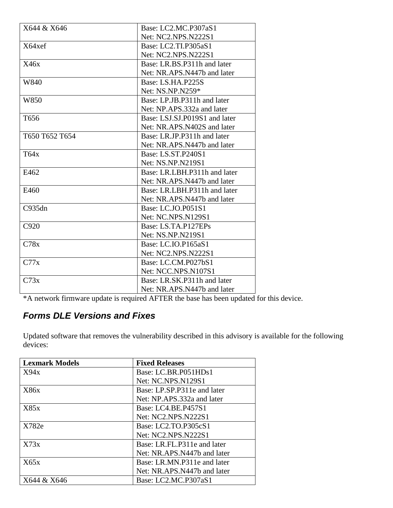| X644 & X646    | Base: LC2.MC.P307aS1          |
|----------------|-------------------------------|
|                | Net: NC2.NPS.N222S1           |
| X64xef         | Base: LC2.TI.P305aS1          |
|                | Net: NC2.NPS.N222S1           |
| X46x           | Base: LR.BS.P311h and later   |
|                | Net: NR.APS.N447b and later   |
| W840           | Base: LS.HA.P225S             |
|                | Net: NS.NP.N259*              |
| W850           | Base: LP.JB.P311h and later   |
|                | Net: NP.APS.332a and later    |
| T656           | Base: LSJ.SJ.P019S1 and later |
|                | Net: NR.APS.N402S and later   |
| T650 T652 T654 | Base: LR.JP.P311h and later   |
|                | Net: NR.APS.N447b and later   |
| T64x           | Base: LS.ST.P240S1            |
|                | Net: NS.NP.N219S1             |
| E462           | Base: LR.LBH.P311h and later  |
|                | Net: NR.APS.N447b and later   |
| E460           | Base: LR.LBH.P311h and later  |
|                | Net: NR.APS.N447b and later   |
| C935dn         | Base: LC.JO.P051S1            |
|                | <b>Net: NC.NPS.N129S1</b>     |
| C920           | Base: LS.TA.P127EPs           |
|                | Net: NS.NP.N219S1             |
| C78x           | Base: LC.IO.P165aS1           |
|                | Net: NC2.NPS.N222S1           |
| C77x           | Base: LC.CM.P027bS1           |
|                | Net: NCC.NPS.N107S1           |
| C73x           | Base: LR.SK.P311h and later   |
|                | Net: NR.APS.N447b and later   |

\*A network firmware update is required AFTER the base has been updated for this device.

# *Forms DLE Versions and Fixes*

| <b>Lexmark Models</b> | <b>Fixed Releases</b>       |
|-----------------------|-----------------------------|
| X94x                  | Base: LC.BR.P051HDs1        |
|                       | Net: NC.NPS.N129S1          |
| <b>X86x</b>           | Base: LP.SP.P311e and later |
|                       | Net: NP.APS.332a and later  |
| X85x                  | Base: LC4.BE.P457S1         |
|                       | Net: NC2.NPS.N222S1         |
| X782e                 | Base: LC2.TO.P305cS1        |
|                       | Net: NC2.NPS.N222S1         |
| X73x                  | Base: LR.FL.P311e and later |
|                       | Net: NR.APS.N447b and later |
| X65x                  | Base: LR.MN.P311e and later |
|                       | Net: NR.APS.N447b and later |
| X644 & X646           | Base: LC2.MC.P307aS1        |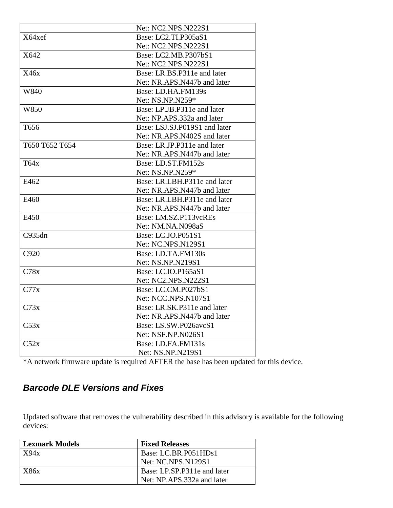|                | Net: NC2.NPS.N222S1           |
|----------------|-------------------------------|
| X64xef         | Base: LC2.TI.P305aS1          |
|                | Net: NC2.NPS.N222S1           |
| X642           | Base: LC2.MB.P307bS1          |
|                | Net: NC2.NPS.N222S1           |
| X46x           | Base: LR.BS.P311e and later   |
|                | Net: NR.APS.N447b and later   |
| W840           | Base: LD.HA.FM139s            |
|                | Net: NS.NP.N259*              |
| W850           | Base: LP.JB.P311e and later   |
|                | Net: NP.APS.332a and later    |
| T656           | Base: LSJ.SJ.P019S1 and later |
|                | Net: NR.APS.N402S and later   |
| T650 T652 T654 | Base: LR.JP.P311e and later   |
|                | Net: NR.APS.N447b and later   |
| T64x           | Base: LD.ST.FM152s            |
|                | Net: NS.NP.N259*              |
| E462           | Base: LR.LBH.P311e and later  |
|                | Net: NR.APS.N447b and later   |
| E460           | Base: LR.LBH.P311e and later  |
|                | Net: NR.APS.N447b and later   |
| E450           | Base: LM.SZ.P113vcREs         |
|                | Net: NM.NA.N098aS             |
| C935dn         | Base: LC.JO.P051S1            |
|                | Net: NC.NPS.N129S1            |
| C920           | Base: LD.TA.FM130s            |
|                | Net: NS.NP.N219S1             |
| C78x           | Base: LC.IO.P165aS1           |
|                | Net: NC2.NPS.N222S1           |
| C77x           | Base: LC.CM.P027bS1           |
|                | Net: NCC.NPS.N107S1           |
| C73x           | Base: LR.SK.P311e and later   |
|                | Net: NR.APS.N447b and later   |
| C53x           | Base: LS.SW.P026avcS1         |
|                | Net: NSF.NP.N026S1            |
| C52x           | Base: LD.FA.FM131s            |
|                | Net: NS.NP.N219S1             |

\*A network firmware update is required AFTER the base has been updated for this device.

# *Barcode DLE Versions and Fixes*

| <b>Lexmark Models</b> | <b>Fixed Releases</b>       |
|-----------------------|-----------------------------|
| X94x                  | Base: LC.BR.P051HDs1        |
|                       | Net: NC.NPS.N129S1          |
| X86x                  | Base: LP.SP.P311e and later |
|                       | Net: NP.APS.332a and later  |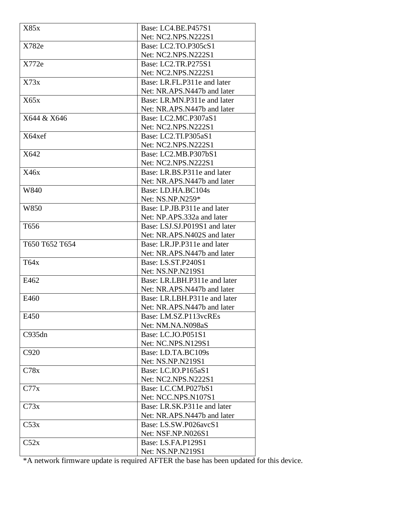| X85x           | Base: LC4.BE.P457S1           |
|----------------|-------------------------------|
|                | Net: NC2.NPS.N222S1           |
| X782e          | Base: LC2.TO.P305cS1          |
|                | Net: NC2.NPS.N222S1           |
| X772e          | Base: LC2.TR.P275S1           |
|                | Net: NC2.NPS.N222S1           |
| X73x           | Base: LR.FL.P311e and later   |
|                | Net: NR.APS.N447b and later   |
| X65x           | Base: LR.MN.P311e and later   |
|                | Net: NR.APS.N447b and later   |
| X644 & X646    | Base: LC2.MC.P307aS1          |
|                | Net: NC2.NPS.N222S1           |
| X64xef         | Base: LC2.TI.P305aS1          |
|                | Net: NC2.NPS.N222S1           |
| X642           | Base: LC2.MB.P307bS1          |
|                | Net: NC2.NPS.N222S1           |
| X46x           | Base: LR.BS.P311e and later   |
|                | Net: NR.APS.N447b and later   |
| W840           | Base: LD.HA.BC104s            |
|                | Net: NS.NP.N259*              |
| W850           | Base: LP.JB.P311e and later   |
|                | Net: NP.APS.332a and later    |
| T656           | Base: LSJ.SJ.P019S1 and later |
|                | Net: NR.APS.N402S and later   |
| T650 T652 T654 | Base: LR.JP.P311e and later   |
|                | Net: NR.APS.N447b and later   |
| T64x           | Base: LS.ST.P240S1            |
|                | Net: NS.NP.N219S1             |
| E462           | Base: LR.LBH.P311e and later  |
|                | Net: NR.APS.N447b and later   |
| E460           | Base: LR.LBH.P311e and later  |
|                | Net: NR.APS.N447b and later   |
| E450           | Base: LM.SZ.P113vcREs         |
|                | Net: NM.NA.N098aS             |
| C935dn         | Base: LC.JO.P051S1            |
|                | Net: NC.NPS.N129S1            |
| C920           | Base: LD.TA.BC109s            |
|                | Net: NS.NP.N219S1             |
| C78x           | Base: LC.IO.P165aS1           |
|                | Net: NC2.NPS.N222S1           |
| C77x           | Base: LC.CM.P027bS1           |
|                | Net: NCC.NPS.N107S1           |
| C73x           | Base: LR.SK.P311e and later   |
|                | Net: NR.APS.N447b and later   |
| C53x           | Base: LS.SW.P026avcS1         |
|                | Net: NSF.NP.N026S1            |
| C52x           | Base: LS.FA.P129S1            |
|                | Net: NS.NP.N219S1             |

\*A network firmware update is required AFTER the base has been updated for this device.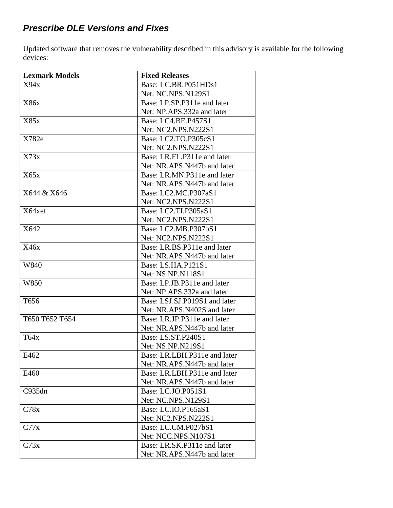# *Prescribe DLE Versions and Fixes*

| <b>Lexmark Models</b> | <b>Fixed Releases</b>         |
|-----------------------|-------------------------------|
| X94x                  | Base: LC.BR.P051HDs1          |
|                       | Net: NC.NPS.N129S1            |
| X86x                  | Base: LP.SP.P311e and later   |
|                       | Net: NP.APS.332a and later    |
| X85x                  | Base: LC4.BE.P457S1           |
|                       | Net: NC2.NPS.N222S1           |
| X782e                 | Base: LC2.TO.P305cS1          |
|                       | Net: NC2.NPS.N222S1           |
| X73x                  | Base: LR.FL.P311e and later   |
|                       | Net: NR.APS.N447b and later   |
| X65x                  | Base: LR.MN.P311e and later   |
|                       | Net: NR.APS.N447b and later   |
| X644 & X646           | Base: LC2.MC.P307aS1          |
|                       | Net: NC2.NPS.N222S1           |
| X64xef                | Base: LC2.TI.P305aS1          |
|                       | Net: NC2.NPS.N222S1           |
| X642                  | Base: LC2.MB.P307bS1          |
|                       | Net: NC2.NPS.N222S1           |
| X46x                  | Base: LR.BS.P311e and later   |
|                       | Net: NR.APS.N447b and later   |
| W840                  | Base: LS.HA.P121S1            |
|                       | Net: NS.NP.N118S1             |
| W850                  | Base: LP.JB.P311e and later   |
|                       | Net: NP.APS.332a and later    |
| T <sub>656</sub>      | Base: LSJ.SJ.P019S1 and later |
|                       | Net: NR.APS.N402S and later   |
| T650 T652 T654        | Base: LR.JP.P311e and later   |
|                       | Net: NR.APS.N447b and later   |
| T64x                  | Base: LS.ST.P240S1            |
|                       | Net: NS.NP.N219S1             |
| E462                  | Base: LR.LBH.P311e and later  |
|                       | Net: NR.APS.N447b and later   |
| E460                  | Base: LR.LBH.P311e and later  |
|                       | Net: NR.APS.N447b and later   |
| C935dn                | Base: LC.JO.P051S1            |
|                       | Net: NC.NPS.N129S1            |
| C78x                  | Base: LC.IO.P165aS1           |
|                       | Net: NC2.NPS.N222S1           |
| C77x                  | Base: LC.CM.P027bS1           |
|                       | Net: NCC.NPS.N107S1           |
| C73x                  | Base: LR.SK.P311e and later   |
|                       | Net: NR.APS.N447b and later   |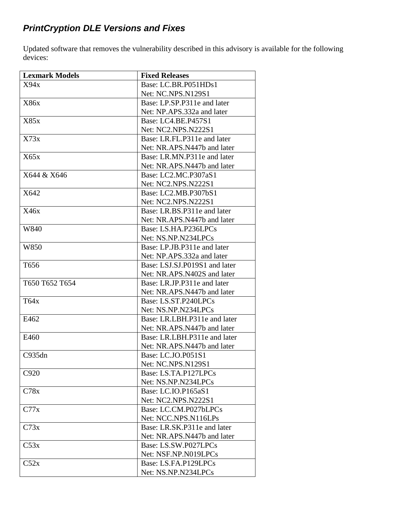# *PrintCryption DLE Versions and Fixes*

| <b>Lexmark Models</b> | <b>Fixed Releases</b>         |
|-----------------------|-------------------------------|
| X94x                  | Base: LC.BR.P051HDs1          |
|                       | Net: NC.NPS.N129S1            |
| X86x                  | Base: LP.SP.P311e and later   |
|                       | Net: NP.APS.332a and later    |
| X85x                  | Base: LC4.BE.P457S1           |
|                       | Net: NC2.NPS.N222S1           |
| X73x                  | Base: LR.FL.P311e and later   |
|                       | Net: NR.APS.N447b and later   |
| X65x                  | Base: LR.MN.P311e and later   |
|                       | Net: NR.APS.N447b and later   |
| X644 & X646           | Base: LC2.MC.P307aS1          |
|                       | Net: NC2.NPS.N222S1           |
| X642                  | Base: LC2.MB.P307bS1          |
|                       | Net: NC2.NPS.N222S1           |
| X46x                  | Base: LR.BS.P311e and later   |
|                       | Net: NR.APS.N447b and later   |
| W840                  | Base: LS.HA.P236LPCs          |
|                       | Net: NS.NP.N234LPCs           |
| W850                  | Base: LP.JB.P311e and later   |
|                       | Net: NP.APS.332a and later    |
| T <sub>656</sub>      | Base: LSJ.SJ.P019S1 and later |
|                       | Net: NR.APS.N402S and later   |
| T650 T652 T654        | Base: LR.JP.P311e and later   |
|                       | Net: NR.APS.N447b and later   |
| T64x                  | Base: LS.ST.P240LPCs          |
|                       | Net: NS.NP.N234LPCs           |
| E462                  | Base: LR.LBH.P311e and later  |
|                       | Net: NR.APS.N447b and later   |
| E460                  | Base: LR.LBH.P311e and later  |
|                       | Net: NR.APS.N447b and later   |
| C935dn                | Base: LC.JO.P051S1            |
|                       | Net: NC.NPS.N129S1            |
| C920                  | Base: LS.TA.P127LPCs          |
|                       | Net: NS.NP.N234LPCs           |
| C78x                  | Base: LC.IO.P165aS1           |
|                       | Net: NC2.NPS.N222S1           |
| C77x                  | Base: LC.CM.P027bLPCs         |
|                       | Net: NCC.NPS.N116LPs          |
| C73x                  | Base: LR.SK.P311e and later   |
|                       | Net: NR.APS.N447b and later   |
| C53x                  | Base: LS.SW.P027LPCs          |
|                       | Net: NSF.NP.N019LPCs          |
| C52x                  | Base: LS.FA.P129LPCs          |
|                       | Net: NS.NP.N234LPCs           |